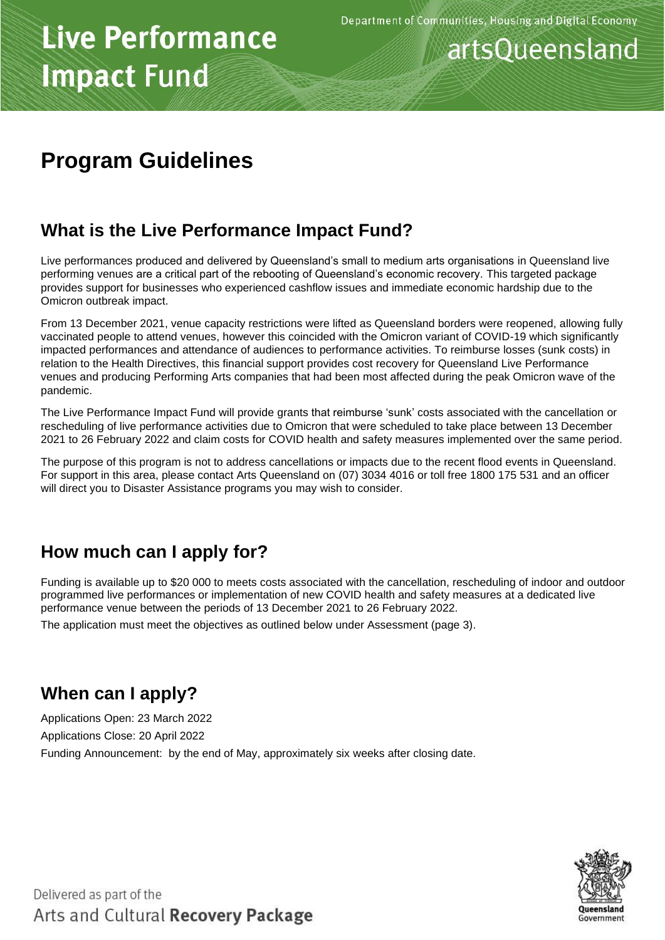### artsQueensland

### **Program Guidelines**

### **What is the Live Performance Impact Fund?**

Live performances produced and delivered by Queensland's small to medium arts organisations in Queensland live performing venues are a critical part of the rebooting of Queensland's economic recovery. This targeted package provides support for businesses who experienced cashflow issues and immediate economic hardship due to the Omicron outbreak impact.

From 13 December 2021, venue capacity restrictions were lifted as Queensland borders were reopened, allowing fully vaccinated people to attend venues, however this coincided with the Omicron variant of COVID-19 which significantly impacted performances and attendance of audiences to performance activities. To reimburse losses (sunk costs) in relation to the Health Directives, this financial support provides cost recovery for Queensland Live Performance venues and producing Performing Arts companies that had been most affected during the peak Omicron wave of the pandemic.

The Live Performance Impact Fund will provide grants that reimburse 'sunk' costs associated with the cancellation or rescheduling of live performance activities due to Omicron that were scheduled to take place between 13 December 2021 to 26 February 2022 and claim costs for COVID health and safety measures implemented over the same period.

The purpose of this program is not to address cancellations or impacts due to the recent flood events in Queensland. For support in this area, please contact Arts Queensland on (07) 3034 4016 or toll free 1800 175 531 and an officer will direct you to Disaster Assistance programs you may wish to consider.

### **How much can I apply for?**

Funding is available up to \$20 000 to meets costs associated with the cancellation, rescheduling of indoor and outdoor programmed live performances or implementation of new COVID health and safety measures at a dedicated live performance venue between the periods of 13 December 2021 to 26 February 2022.

The application must meet the objectives as outlined below under Assessment (page 3).

### **When can I apply?**

Applications Open: 23 March 2022 Applications Close: 20 April 2022 Funding Announcement: by the end of May, approximately six weeks after closing date.

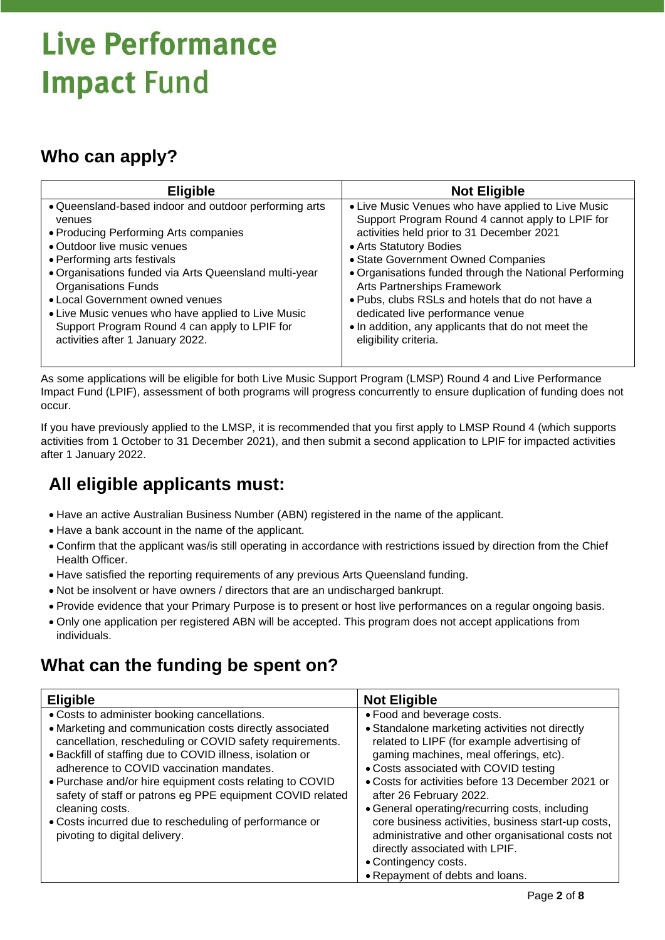### **Who can apply?**

| <b>Eligible</b>                                                                                                                                                                                                                                                                                                                                                                                                                             | <b>Not Eligible</b>                                                                                                                                                                                                                                                                                                                                                                                                                                                                  |  |
|---------------------------------------------------------------------------------------------------------------------------------------------------------------------------------------------------------------------------------------------------------------------------------------------------------------------------------------------------------------------------------------------------------------------------------------------|--------------------------------------------------------------------------------------------------------------------------------------------------------------------------------------------------------------------------------------------------------------------------------------------------------------------------------------------------------------------------------------------------------------------------------------------------------------------------------------|--|
| . Queensland-based indoor and outdoor performing arts<br>venues<br>• Producing Performing Arts companies<br>• Outdoor live music venues<br>• Performing arts festivals<br>• Organisations funded via Arts Queensland multi-year<br><b>Organisations Funds</b><br>• Local Government owned venues<br>• Live Music venues who have applied to Live Music<br>Support Program Round 4 can apply to LPIF for<br>activities after 1 January 2022. | • Live Music Venues who have applied to Live Music<br>Support Program Round 4 cannot apply to LPIF for<br>activities held prior to 31 December 2021<br>• Arts Statutory Bodies<br>• State Government Owned Companies<br>. Organisations funded through the National Performing<br>Arts Partnerships Framework<br>. Pubs, clubs RSLs and hotels that do not have a<br>dedicated live performance venue<br>. In addition, any applicants that do not meet the<br>eligibility criteria. |  |

As some applications will be eligible for both Live Music Support Program (LMSP) Round 4 and Live Performance Impact Fund (LPIF), assessment of both programs will progress concurrently to ensure duplication of funding does not occur.

If you have previously applied to the LMSP, it is recommended that you first apply to LMSP Round 4 (which supports activities from 1 October to 31 December 2021), and then submit a second application to LPIF for impacted activities after 1 January 2022.

### **All eligible applicants must:**

- Have an active Australian Business Number (ABN) registered in the name of the applicant.
- Have a bank account in the name of the applicant.
- Confirm that the applicant was/is still operating in accordance with restrictions issued by direction from the Chief Health Officer.
- Have satisfied the reporting requirements of any previous Arts Queensland funding.
- Not be insolvent or have owners / directors that are an undischarged bankrupt.
- Provide evidence that your Primary Purpose is to present or host live performances on a regular ongoing basis.
- Only one application per registered ABN will be accepted. This program does not accept applications from individuals.

### **What can the funding be spent on?**

| <b>Eligible</b>                                           | <b>Not Eligible</b>                                |
|-----------------------------------------------------------|----------------------------------------------------|
| • Costs to administer booking cancellations.              | • Food and beverage costs.                         |
| • Marketing and communication costs directly associated   | • Standalone marketing activities not directly     |
| cancellation, rescheduling or COVID safety requirements.  | related to LIPF (for example advertising of        |
| • Backfill of staffing due to COVID illness, isolation or | gaming machines, meal offerings, etc).             |
| adherence to COVID vaccination mandates.                  | • Costs associated with COVID testing              |
| . Purchase and/or hire equipment costs relating to COVID  | • Costs for activities before 13 December 2021 or  |
| safety of staff or patrons eg PPE equipment COVID related | after 26 February 2022.                            |
| cleaning costs.                                           | • General operating/recurring costs, including     |
| • Costs incurred due to rescheduling of performance or    | core business activities, business start-up costs, |
| pivoting to digital delivery.                             | administrative and other organisational costs not  |
|                                                           | directly associated with LPIF.                     |
|                                                           | • Contingency costs.                               |
|                                                           | • Repayment of debts and loans.                    |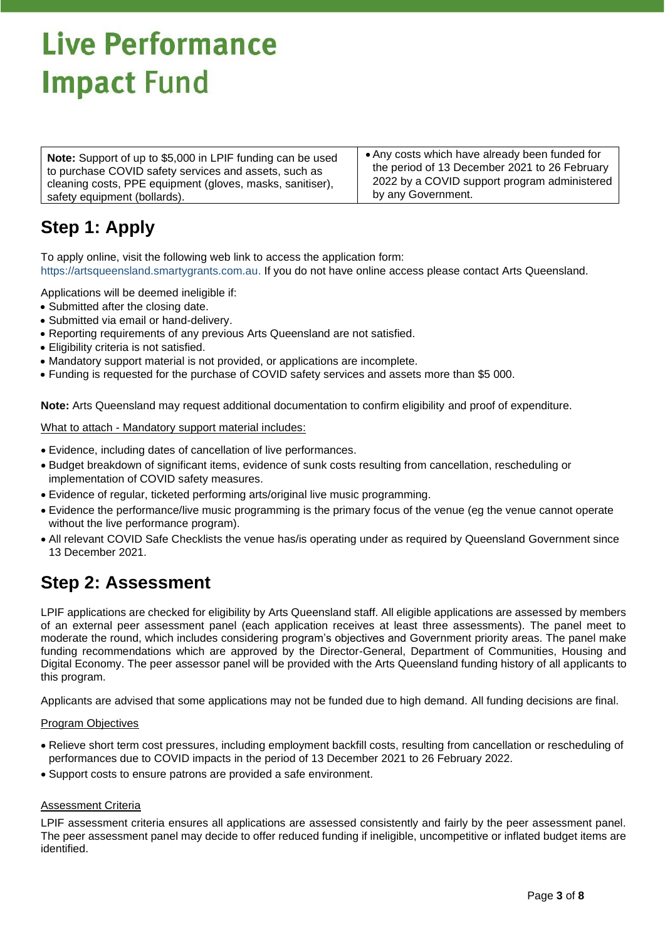**Note:** Support of up to \$5,000 in LPIF funding can be used to purchase COVID safety services and assets, such as cleaning costs, PPE equipment (gloves, masks, sanitiser), safety equipment (bollards).

• Any costs which have already been funded for the period of 13 December 2021 to 26 February 2022 by a COVID support program administered by any Government.

### **Step 1: Apply**

To apply online, visit the following web link to access the application form: [https://artsqueensland.smartygrants.com.au.](https://artsqueensland.smartygrants.com.au/) If you do not have online access please contact Arts Queensland.

Applications will be deemed ineligible if:

- Submitted after the closing date.
- Submitted via email or hand-delivery.
- Reporting requirements of any previous Arts Queensland are not satisfied.
- Eligibility criteria is not satisfied.
- Mandatory support material is not provided, or applications are incomplete.
- Funding is requested for the purchase of COVID safety services and assets more than \$5 000.

**Note:** Arts Queensland may request additional documentation to confirm eligibility and proof of expenditure.

What to attach - Mandatory support material includes:

- Evidence, including dates of cancellation of live performances.
- Budget breakdown of significant items, evidence of sunk costs resulting from cancellation, rescheduling or implementation of COVID safety measures.
- Evidence of regular, ticketed performing arts/original live music programming.
- Evidence the performance/live music programming is the primary focus of the venue (eg the venue cannot operate without the live performance program).
- All relevant COVID Safe Checklists the venue has/is operating under as required by Queensland Government since 13 December 2021.

#### **Step 2: Assessment**

LPIF applications are checked for eligibility by Arts Queensland staff. All eligible applications are assessed by members of an external peer assessment panel (each application receives at least three assessments). The panel meet to moderate the round, which includes considering program's objectives and Government priority areas. The panel make funding recommendations which are approved by the Director-General, Department of Communities, Housing and Digital Economy. The peer assessor panel will be provided with the Arts Queensland funding history of all applicants to this program.

Applicants are advised that some applications may not be funded due to high demand. All funding decisions are final.

#### Program Objectives

- Relieve short term cost pressures, including employment backfill costs, resulting from cancellation or rescheduling of performances due to COVID impacts in the period of 13 December 2021 to 26 February 2022.
- Support costs to ensure patrons are provided a safe environment.

#### Assessment Criteria

LPIF assessment criteria ensures all applications are assessed consistently and fairly by the peer assessment panel. The peer assessment panel may decide to offer reduced funding if ineligible, uncompetitive or inflated budget items are identified.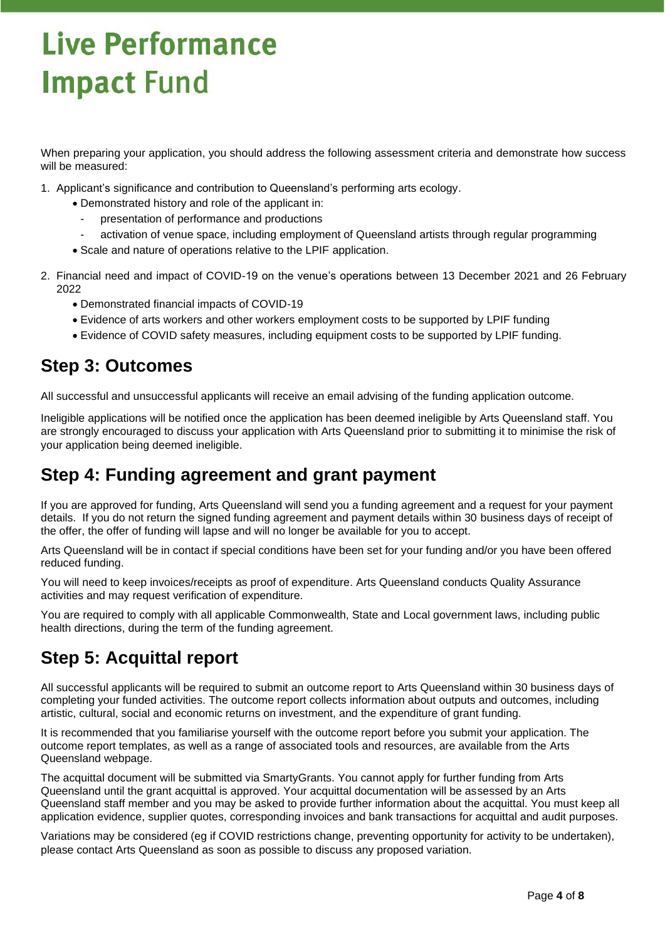When preparing your application, you should address the following assessment criteria and demonstrate how success will be measured:

- 1. Applicant's significance and contribution to Queensland's performing arts ecology.
	- Demonstrated history and role of the applicant in:
		- presentation of performance and productions
		- activation of venue space, including employment of Queensland artists through regular programming
	- Scale and nature of operations relative to the LPIF application.
- 2. Financial need and impact of COVID-19 on the venue's operations between 13 December 2021 and 26 February 2022
	- Demonstrated financial impacts of COVID-19
	- Evidence of arts workers and other workers employment costs to be supported by LPIF funding
	- Evidence of COVID safety measures, including equipment costs to be supported by LPIF funding.

#### **Step 3: Outcomes**

All successful and unsuccessful applicants will receive an email advising of the funding application outcome.

Ineligible applications will be notified once the application has been deemed ineligible by Arts Queensland staff. You are strongly encouraged to discuss your application with Arts Queensland prior to submitting it to minimise the risk of your application being deemed ineligible.

#### **Step 4: Funding agreement and grant payment**

If you are approved for funding, Arts Queensland will send you a funding agreement and a request for your payment details. If you do not return the signed funding agreement and payment details within 30 business days of receipt of the offer, the offer of funding will lapse and will no longer be available for you to accept.

Arts Queensland will be in contact if special conditions have been set for your funding and/or you have been offered reduced funding.

You will need to keep invoices/receipts as proof of expenditure. Arts Queensland conducts Quality Assurance activities and may request verification of expenditure.

You are required to comply with all applicable Commonwealth, State and Local government laws, including public health directions, during the term of the funding agreement.

### **Step 5: Acquittal report**

All successful applicants will be required to submit an outcome report to Arts Queensland within 30 business days of completing your funded activities. The outcome report collects information about outputs and outcomes, including artistic, cultural, social and economic returns on investment, and the expenditure of grant funding.

It is recommended that you familiarise yourself with the outcome report before you submit your application. The outcome report templates, as well as a range of associated tools and resources, are available from the Arts Queensland webpage.

The acquittal document will be submitted via SmartyGrants. You cannot apply for further funding from Arts Queensland until the grant acquittal is approved. Your acquittal documentation will be assessed by an Arts Queensland staff member and you may be asked to provide further information about the acquittal. You must keep all application evidence, supplier quotes, corresponding invoices and bank transactions for acquittal and audit purposes.

Variations may be considered (eg if COVID restrictions change, preventing opportunity for activity to be undertaken), please contact Arts Queensland as soon as possible to discuss any proposed variation.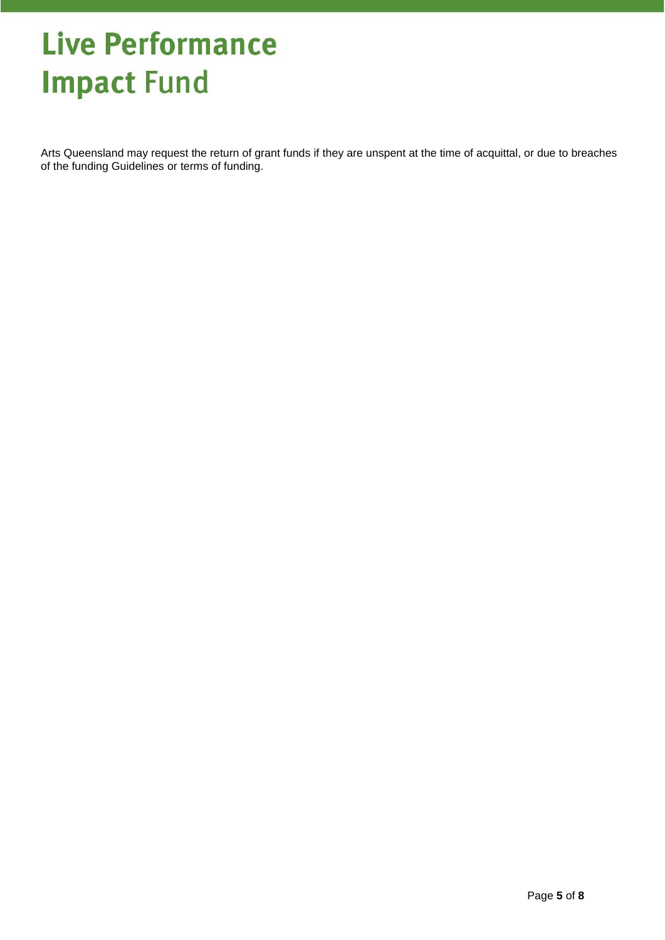Arts Queensland may request the return of grant funds if they are unspent at the time of acquittal, or due to breaches of the funding Guidelines or terms of funding.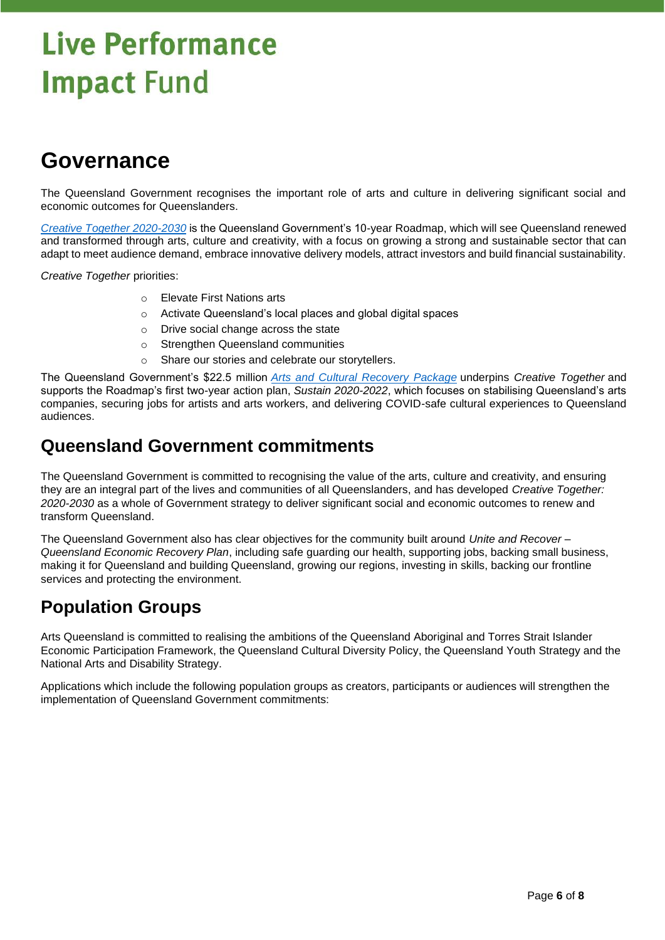### **Governance**

The Queensland Government recognises the important role of arts and culture in delivering significant social and economic outcomes for Queenslanders.

*[Creative Together 2020-2030](https://www.arts.qld.gov.au/creative-together)* is the Queensland Government's 10-year Roadmap, which will see Queensland renewed and transformed through arts, culture and creativity, with a focus on growing a strong and sustainable sector that can adapt to meet audience demand, embrace innovative delivery models, attract investors and build financial sustainability.

*Creative Together* priorities:

- o Elevate First Nations arts
- o Activate Queensland's local places and global digital spaces
- o Drive social change across the state
- o Strengthen Queensland communities
- o Share our stories and celebrate our storytellers.

The Queensland Government's \$22.5 million *[Arts and Cultural Recovery Package](https://www.arts.qld.gov.au/recovery)* underpins *Creative Together* and supports the Roadmap's first two-year action plan, *Sustain 2020-2022*, which focuses on stabilising Queensland's arts companies, securing jobs for artists and arts workers, and delivering COVID-safe cultural experiences to Queensland audiences.

#### **Queensland Government commitments**

The Queensland Government is committed to recognising the value of the arts, culture and creativity, and ensuring they are an integral part of the lives and communities of all Queenslanders, and has developed *Creative Together: 2020-2030* as a whole of Government strategy to deliver significant social and economic outcomes to renew and transform Queensland.

The Queensland Government also has clear objectives for the community built around *Unite and Recover – Queensland Economic Recovery Plan*, including safe guarding our health, supporting jobs, backing small business, making it for Queensland and building Queensland, growing our regions, investing in skills, backing our frontline services and protecting the environment.

#### **Population Groups**

Arts Queensland is committed to realising the ambitions of the Queensland Aboriginal and Torres Strait Islander Economic Participation Framework, the Queensland Cultural Diversity Policy, the Queensland Youth Strategy and the National Arts and Disability Strategy.

Applications which include the following population groups as creators, participants or audiences will strengthen the implementation of Queensland Government commitments: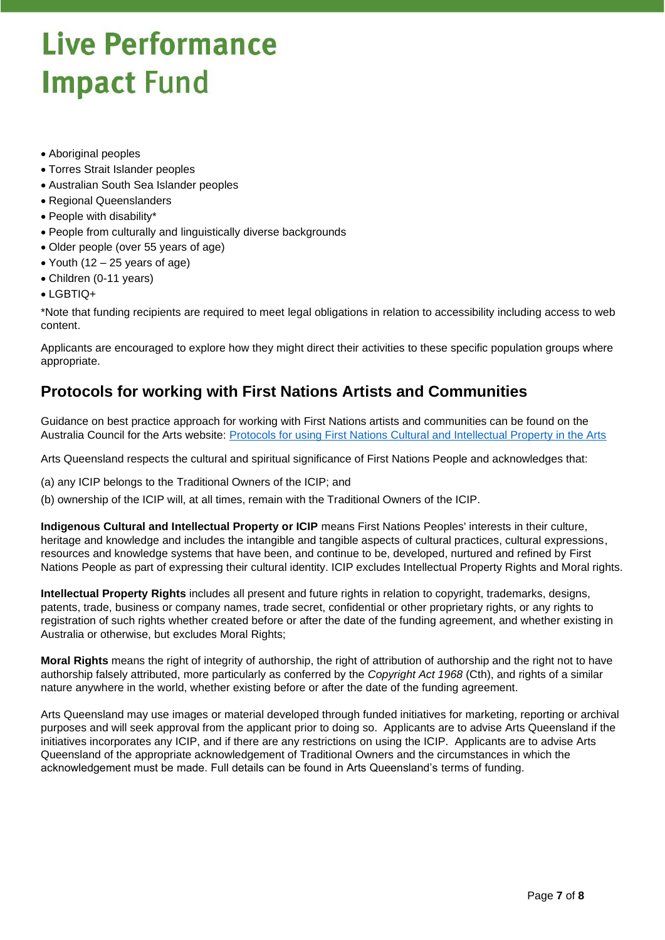- Aboriginal peoples
- Torres Strait Islander peoples
- Australian South Sea Islander peoples
- Regional Queenslanders
- People with disability\*
- People from culturally and linguistically diverse backgrounds
- Older people (over 55 years of age)
- Youth (12 25 years of age)
- Children (0-11 years)
- LGBTIQ+

\*Note that funding recipients are required to meet legal obligations in relation to accessibility including access to web content.

Applicants are encouraged to explore how they might direct their activities to these specific population groups where appropriate.

#### **Protocols for working with First Nations Artists and Communities**

Guidance on best practice approach for working with First Nations artists and communities can be found on the Australia Council for the Arts website: [Protocols for using First Nations Cultural and Intellectual Property in the Arts](https://www.australiacouncil.gov.au/programs-and-resources/Protocols-for-using-First-Nations-Cultural-and-Intellectual-Property-in-the-Arts/?mc_cid=1384a8c89d&mc_eid=aea7aa2278)

Arts Queensland respects the cultural and spiritual significance of First Nations People and acknowledges that:

(a) any ICIP belongs to the Traditional Owners of the ICIP; and

(b) ownership of the ICIP will, at all times, remain with the Traditional Owners of the ICIP.

**Indigenous Cultural and Intellectual Property or ICIP** means First Nations Peoples' interests in their culture, heritage and knowledge and includes the intangible and tangible aspects of cultural practices, cultural expressions, resources and knowledge systems that have been, and continue to be, developed, nurtured and refined by First Nations People as part of expressing their cultural identity. ICIP excludes Intellectual Property Rights and Moral rights.

**Intellectual Property Rights** includes all present and future rights in relation to copyright, trademarks, designs, patents, trade, business or company names, trade secret, confidential or other proprietary rights, or any rights to registration of such rights whether created before or after the date of the funding agreement, and whether existing in Australia or otherwise, but excludes Moral Rights;

**Moral Rights** means the right of integrity of authorship, the right of attribution of authorship and the right not to have authorship falsely attributed, more particularly as conferred by the *Copyright Act 1968* (Cth), and rights of a similar nature anywhere in the world, whether existing before or after the date of the funding agreement.

Arts Queensland may use images or material developed through funded initiatives for marketing, reporting or archival purposes and will seek approval from the applicant prior to doing so. Applicants are to advise Arts Queensland if the initiatives incorporates any ICIP, and if there are any restrictions on using the ICIP. Applicants are to advise Arts Queensland of the appropriate acknowledgement of Traditional Owners and the circumstances in which the acknowledgement must be made. Full details can be found in Arts Queensland's terms of funding.